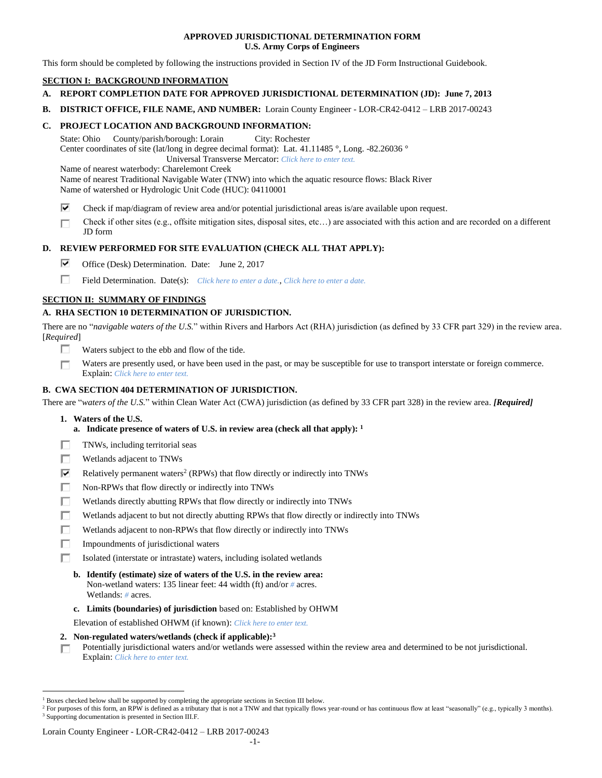## **APPROVED JURISDICTIONAL DETERMINATION FORM U.S. Army Corps of Engineers**

This form should be completed by following the instructions provided in Section IV of the JD Form Instructional Guidebook.

## **SECTION I: BACKGROUND INFORMATION**

- **A. REPORT COMPLETION DATE FOR APPROVED JURISDICTIONAL DETERMINATION (JD): June 7, 2013**
- **B. DISTRICT OFFICE, FILE NAME, AND NUMBER:** Lorain County Engineer LOR-CR42-0412 LRB 2017-00243

## **C. PROJECT LOCATION AND BACKGROUND INFORMATION:**

State: Ohio County/parish/borough: Lorain City: Rochester Center coordinates of site (lat/long in degree decimal format): Lat. 41.11485 °, Long. -82.26036 °

Universal Transverse Mercator: *Click here to enter text.*

Name of nearest waterbody: Charelemont Creek

Name of nearest Traditional Navigable Water (TNW) into which the aquatic resource flows: Black River Name of watershed or Hydrologic Unit Code (HUC): 04110001

- ⊽ Check if map/diagram of review area and/or potential jurisdictional areas is/are available upon request.
- Check if other sites (e.g., offsite mitigation sites, disposal sites, etc…) are associated with this action and are recorded on a different п JD form

## **D. REVIEW PERFORMED FOR SITE EVALUATION (CHECK ALL THAT APPLY):**

- ⊽. Office (Desk) Determination. Date: June 2, 2017
- п Field Determination. Date(s): *Click here to enter a date.*, *Click here to enter a date.*

## **SECTION II: SUMMARY OF FINDINGS**

## **A. RHA SECTION 10 DETERMINATION OF JURISDICTION.**

There are no "*navigable waters of the U.S.*" within Rivers and Harbors Act (RHA) jurisdiction (as defined by 33 CFR part 329) in the review area. [*Required*]

- п Waters subject to the ebb and flow of the tide.
- Waters are presently used, or have been used in the past, or may be susceptible for use to transport interstate or foreign commerce. П Explain: *Click here to enter text.*

## **B. CWA SECTION 404 DETERMINATION OF JURISDICTION.**

There are "*waters of the U.S.*" within Clean Water Act (CWA) jurisdiction (as defined by 33 CFR part 328) in the review area. *[Required]*

**1. Waters of the U.S.**

 $\overline{a}$ 

- **a. Indicate presence of waters of U.S. in review area (check all that apply): 1**
- п TNWs, including territorial seas
- П Wetlands adjacent to TNWs
- ⊽ Relatively permanent waters<sup>2</sup> (RPWs) that flow directly or indirectly into TNWs
- п Non-RPWs that flow directly or indirectly into TNWs
- П Wetlands directly abutting RPWs that flow directly or indirectly into TNWs
- п Wetlands adjacent to but not directly abutting RPWs that flow directly or indirectly into TNWs
- Wetlands adjacent to non-RPWs that flow directly or indirectly into TNWs п
- п Impoundments of jurisdictional waters
- П. Isolated (interstate or intrastate) waters, including isolated wetlands
	- **b. Identify (estimate) size of waters of the U.S. in the review area:** Non-wetland waters: 135 linear feet: 44 width (ft) and/or *#* acres. Wetlands: *#* acres.
	- **c. Limits (boundaries) of jurisdiction** based on: Established by OHWM

Elevation of established OHWM (if known): *Click here to enter text.*

- **2. Non-regulated waters/wetlands (check if applicable): 3**
- Potentially jurisdictional waters and/or wetlands were assessed within the review area and determined to be not jurisdictional. п. Explain: *Click here to enter text.*

<sup>1</sup> Boxes checked below shall be supported by completing the appropriate sections in Section III below.

<sup>&</sup>lt;sup>2</sup> For purposes of this form, an RPW is defined as a tributary that is not a TNW and that typically flows year-round or has continuous flow at least "seasonally" (e.g., typically 3 months). <sup>3</sup> Supporting documentation is presented in Section III.F.

Lorain County Engineer - LOR-CR42-0412 – LRB 2017-00243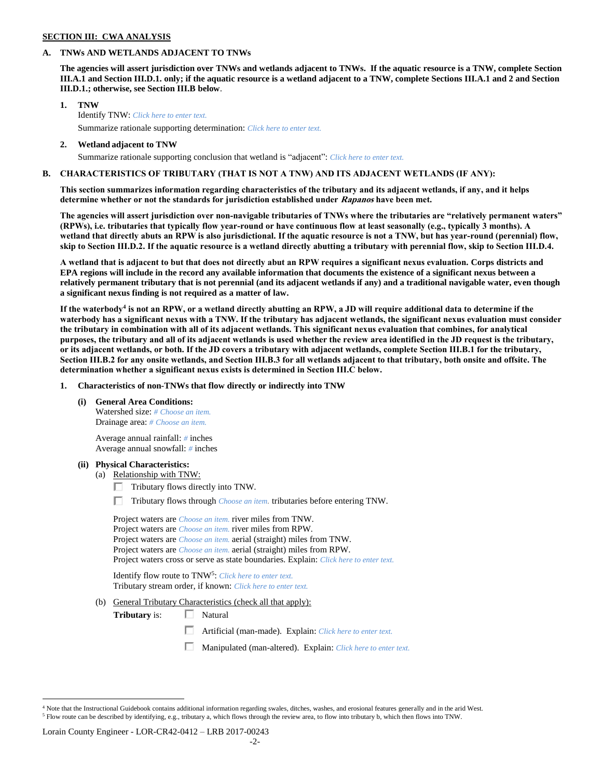## **SECTION III: CWA ANALYSIS**

## **A. TNWs AND WETLANDS ADJACENT TO TNWs**

**The agencies will assert jurisdiction over TNWs and wetlands adjacent to TNWs. If the aquatic resource is a TNW, complete Section III.A.1 and Section III.D.1. only; if the aquatic resource is a wetland adjacent to a TNW, complete Sections III.A.1 and 2 and Section III.D.1.; otherwise, see Section III.B below**.

- **1. TNW**  Identify TNW: *Click here to enter text.* Summarize rationale supporting determination: *Click here to enter text.*
- **2. Wetland adjacent to TNW**

## Summarize rationale supporting conclusion that wetland is "adjacent": *Click here to enter text.*

## **B. CHARACTERISTICS OF TRIBUTARY (THAT IS NOT A TNW) AND ITS ADJACENT WETLANDS (IF ANY):**

**This section summarizes information regarding characteristics of the tributary and its adjacent wetlands, if any, and it helps determine whether or not the standards for jurisdiction established under Rapanos have been met.** 

**The agencies will assert jurisdiction over non-navigable tributaries of TNWs where the tributaries are "relatively permanent waters" (RPWs), i.e. tributaries that typically flow year-round or have continuous flow at least seasonally (e.g., typically 3 months). A wetland that directly abuts an RPW is also jurisdictional. If the aquatic resource is not a TNW, but has year-round (perennial) flow, skip to Section III.D.2. If the aquatic resource is a wetland directly abutting a tributary with perennial flow, skip to Section III.D.4.**

**A wetland that is adjacent to but that does not directly abut an RPW requires a significant nexus evaluation. Corps districts and EPA regions will include in the record any available information that documents the existence of a significant nexus between a relatively permanent tributary that is not perennial (and its adjacent wetlands if any) and a traditional navigable water, even though a significant nexus finding is not required as a matter of law.**

**If the waterbody<sup>4</sup> is not an RPW, or a wetland directly abutting an RPW, a JD will require additional data to determine if the waterbody has a significant nexus with a TNW. If the tributary has adjacent wetlands, the significant nexus evaluation must consider the tributary in combination with all of its adjacent wetlands. This significant nexus evaluation that combines, for analytical purposes, the tributary and all of its adjacent wetlands is used whether the review area identified in the JD request is the tributary, or its adjacent wetlands, or both. If the JD covers a tributary with adjacent wetlands, complete Section III.B.1 for the tributary, Section III.B.2 for any onsite wetlands, and Section III.B.3 for all wetlands adjacent to that tributary, both onsite and offsite. The determination whether a significant nexus exists is determined in Section III.C below.**

**1. Characteristics of non-TNWs that flow directly or indirectly into TNW**

**(i) General Area Conditions:**

Watershed size: *# Choose an item.* Drainage area: *# Choose an item.*

Average annual rainfall: *#* inches Average annual snowfall: *#* inches

#### **(ii) Physical Characteristics:**

- (a) Relationship with TNW:
	- $\Box$  Tributary flows directly into TNW.
	- Tributary flows through *Choose an item.* tributaries before entering TNW.

| Project waters are <i>Choose an item</i> , river miles from TNW.                      |  |
|---------------------------------------------------------------------------------------|--|
| Project waters are <i>Choose an item</i> , river miles from RPW.                      |  |
| Project waters are <i>Choose an item.</i> aerial (straight) miles from TNW.           |  |
| Project waters are <i>Choose an item.</i> aerial (straight) miles from RPW.           |  |
| Project waters cross or serve as state boundaries. Explain: Click here to enter text. |  |

Identify flow route to TNW<sup>5</sup>: Click here to enter text. Tributary stream order, if known: *Click here to enter text.*

(b) General Tributary Characteristics (check all that apply):

**Tributary** is: □ Natural

- П Artificial (man-made). Explain: *Click here to enter text.*
- П. Manipulated (man-altered). Explain: *Click here to enter text.*

 $\overline{a}$ 

 $4$  Note that the Instructional Guidebook contains additional information regarding swales, ditches, washes, and erosional features generally and in the arid West. <sup>5</sup> Flow route can be described by identifying, e.g., tributary a, which flows through the review area, to flow into tributary b, which then flows into TNW.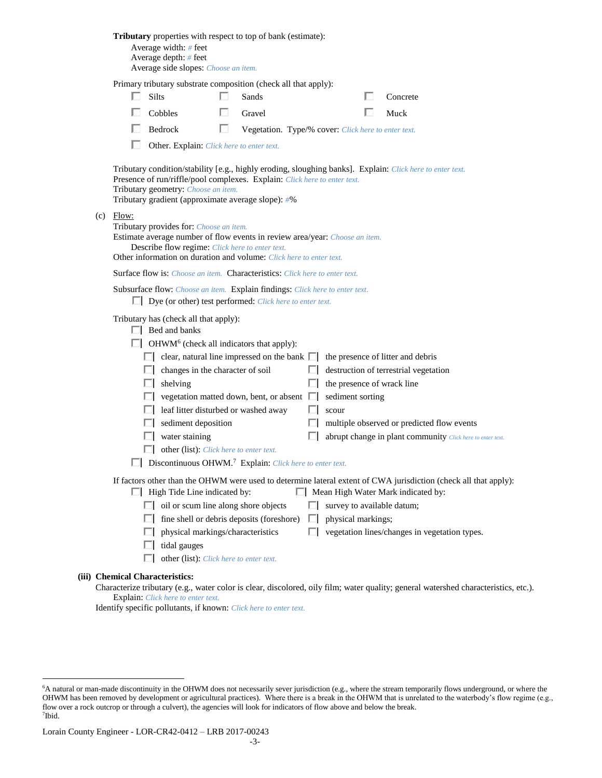|                                                                                                                                                                                                                                                                 |                                                                                                                              | <b>Tributary</b> properties with respect to top of bank (estimate):<br>Average width: # feet<br>Average depth: # feet<br>Average side slopes: Choose an item.               |                       |                                                     |         |                                                  |  |                                                                                                                                                                                                         |  |
|-----------------------------------------------------------------------------------------------------------------------------------------------------------------------------------------------------------------------------------------------------------------|------------------------------------------------------------------------------------------------------------------------------|-----------------------------------------------------------------------------------------------------------------------------------------------------------------------------|-----------------------|-----------------------------------------------------|---------|--------------------------------------------------|--|---------------------------------------------------------------------------------------------------------------------------------------------------------------------------------------------------------|--|
|                                                                                                                                                                                                                                                                 |                                                                                                                              | Primary tributary substrate composition (check all that apply):<br>Silts                                                                                                    | $\mathbf{L}$<br>Sands |                                                     |         |                                                  |  | Concrete                                                                                                                                                                                                |  |
|                                                                                                                                                                                                                                                                 |                                                                                                                              | Cobbles                                                                                                                                                                     | Gravel                |                                                     |         |                                                  |  | Muck                                                                                                                                                                                                    |  |
|                                                                                                                                                                                                                                                                 |                                                                                                                              | $\Box$ Bedrock                                                                                                                                                              | U                     | Vegetation. Type/% cover: Click here to enter text. |         |                                                  |  |                                                                                                                                                                                                         |  |
|                                                                                                                                                                                                                                                                 |                                                                                                                              | Other. Explain: Click here to enter text.                                                                                                                                   |                       |                                                     |         |                                                  |  |                                                                                                                                                                                                         |  |
|                                                                                                                                                                                                                                                                 |                                                                                                                              | Presence of run/riffle/pool complexes. Explain: Click here to enter text.<br>Tributary geometry: Choose an item.<br>Tributary gradient (approximate average slope): #%      |                       |                                                     |         |                                                  |  | Tributary condition/stability [e.g., highly eroding, sloughing banks]. Explain: Click here to enter text.                                                                                               |  |
| $(c)$ Flow:<br>Tributary provides for: Choose an item.<br>Estimate average number of flow events in review area/year: Choose an item.<br>Describe flow regime: Click here to enter text.<br>Other information on duration and volume: Click here to enter text. |                                                                                                                              |                                                                                                                                                                             |                       |                                                     |         |                                                  |  |                                                                                                                                                                                                         |  |
| <b>Surface flow is:</b> <i>Choose an item.</i> <b>Characteristics:</b> <i>Click here to enter text.</i>                                                                                                                                                         |                                                                                                                              |                                                                                                                                                                             |                       |                                                     |         |                                                  |  |                                                                                                                                                                                                         |  |
|                                                                                                                                                                                                                                                                 |                                                                                                                              | Subsurface flow: Choose an item. Explain findings: Click here to enter text.<br>$\Box$ Dye (or other) test performed: <i>Click here to enter text.</i>                      |                       |                                                     |         |                                                  |  |                                                                                                                                                                                                         |  |
|                                                                                                                                                                                                                                                                 |                                                                                                                              | Tributary has (check all that apply):<br>$\Box$ Bed and banks<br>$\Box$ OHWM <sup>6</sup> (check all indicators that apply):                                                |                       |                                                     |         |                                                  |  |                                                                                                                                                                                                         |  |
|                                                                                                                                                                                                                                                                 |                                                                                                                              | $\Box$ clear, natural line impressed on the bank $\Box$ the presence of litter and debris                                                                                   |                       |                                                     |         |                                                  |  |                                                                                                                                                                                                         |  |
|                                                                                                                                                                                                                                                                 |                                                                                                                              | $\Box$ changes in the character of soil                                                                                                                                     |                       |                                                     |         |                                                  |  | destruction of terrestrial vegetation                                                                                                                                                                   |  |
|                                                                                                                                                                                                                                                                 |                                                                                                                              | $\Box$ shelving                                                                                                                                                             |                       |                                                     | L.      | the presence of wrack line                       |  |                                                                                                                                                                                                         |  |
|                                                                                                                                                                                                                                                                 |                                                                                                                              | $\Box$ vegetation matted down, bent, or absent $\Box$                                                                                                                       |                       |                                                     |         | sediment sorting                                 |  |                                                                                                                                                                                                         |  |
|                                                                                                                                                                                                                                                                 |                                                                                                                              | $\Box$ leaf litter disturbed or washed away                                                                                                                                 |                       |                                                     | U       | scour                                            |  |                                                                                                                                                                                                         |  |
|                                                                                                                                                                                                                                                                 |                                                                                                                              | $\Box$ sediment deposition                                                                                                                                                  |                       |                                                     | L.      |                                                  |  | multiple observed or predicted flow events                                                                                                                                                              |  |
|                                                                                                                                                                                                                                                                 |                                                                                                                              | $\Box$ water staining                                                                                                                                                       |                       |                                                     |         |                                                  |  | abrupt change in plant community Click here to enter text.                                                                                                                                              |  |
|                                                                                                                                                                                                                                                                 | other (list): <i>Click here to enter text.</i><br>$\Box$ Discontinuous OHWM. <sup>7</sup> Explain: Click here to enter text. |                                                                                                                                                                             |                       |                                                     |         |                                                  |  |                                                                                                                                                                                                         |  |
|                                                                                                                                                                                                                                                                 |                                                                                                                              | $\Box$ High Tide Line indicated by:<br>$\Box$ oil or scum line along shore objects<br>$\Box$ fine shell or debris deposits (foreshore)<br>physical markings/characteristics |                       |                                                     | ш<br>L. | survey to available datum;<br>physical markings; |  | If factors other than the OHWM were used to determine lateral extent of CWA jurisdiction (check all that apply):<br>Mean High Water Mark indicated by:<br>vegetation lines/changes in vegetation types. |  |
|                                                                                                                                                                                                                                                                 |                                                                                                                              | tidal gauges<br>other (list): Click here to enter text.                                                                                                                     |                       |                                                     |         |                                                  |  |                                                                                                                                                                                                         |  |
|                                                                                                                                                                                                                                                                 |                                                                                                                              | <b>Chemical Characteristics:</b>                                                                                                                                            |                       |                                                     |         |                                                  |  | Characterize tributary (e.g., water color is clear, discolored, oily film; water quality; general watershed characteristics, etc.                                                                       |  |

rize tributary (e.g., water color is clear, discolored, oily film; water quality; general watershed characteristics, etc.). Explain: *Click here to enter text.*

Identify specific pollutants, if known: *Click here to enter text.*

**(iii)** 

 $\overline{a}$ 

<sup>6</sup>A natural or man-made discontinuity in the OHWM does not necessarily sever jurisdiction (e.g., where the stream temporarily flows underground, or where the OHWM has been removed by development or agricultural practices). Where there is a break in the OHWM that is unrelated to the waterbody's flow regime (e.g., flow over a rock outcrop or through a culvert), the agencies will look for indicators of flow above and below the break. 7 Ibid.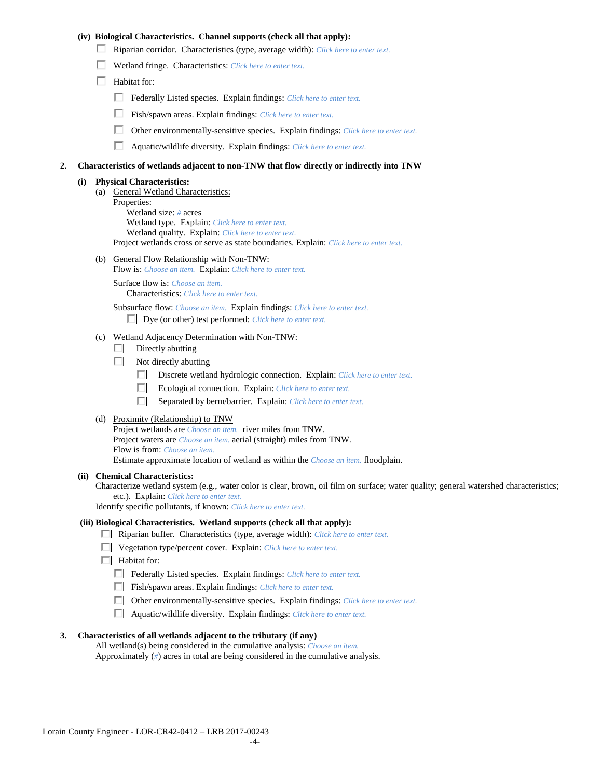## **(iv) Biological Characteristics. Channel supports (check all that apply):**

- Riparian corridor. Characteristics (type, average width): *Click here to enter text.*
- Wetland fringe. Characteristics: *Click here to enter text.*
- $\Box$  Habitat for:
	- Federally Listed species. Explain findings: *Click here to enter text.*
	- П. Fish/spawn areas. Explain findings: *Click here to enter text.*
	- П. Other environmentally-sensitive species. Explain findings: *Click here to enter text.*
	- П. Aquatic/wildlife diversity. Explain findings: *Click here to enter text.*

#### **2. Characteristics of wetlands adjacent to non-TNW that flow directly or indirectly into TNW**

#### **(i) Physical Characteristics:**

- (a) General Wetland Characteristics:
	- Properties:

Wetland size: *#* acres Wetland type. Explain: *Click here to enter text.*

Wetland quality. Explain: *Click here to enter text.*

Project wetlands cross or serve as state boundaries. Explain: *Click here to enter text.*

(b) General Flow Relationship with Non-TNW: Flow is: *Choose an item.* Explain: *Click here to enter text.*

Surface flow is: *Choose an item.* Characteristics: *Click here to enter text.*

Subsurface flow: *Choose an item.* Explain findings: *Click here to enter text.*

Dye (or other) test performed: *Click here to enter text.*

#### (c) Wetland Adjacency Determination with Non-TNW:

- $\Box$  Directly abutting
- Not directly abutting
	- Discrete wetland hydrologic connection. Explain: *Click here to enter text.*
	- o I Ecological connection. Explain: *Click here to enter text.*
	- $\Box$ Separated by berm/barrier. Explain: *Click here to enter text.*
- (d) Proximity (Relationship) to TNW

Project wetlands are *Choose an item.* river miles from TNW. Project waters are *Choose an item.* aerial (straight) miles from TNW. Flow is from: *Choose an item.* Estimate approximate location of wetland as within the *Choose an item.* floodplain.

#### **(ii) Chemical Characteristics:**

Characterize wetland system (e.g., water color is clear, brown, oil film on surface; water quality; general watershed characteristics; etc.). Explain: *Click here to enter text.*

Identify specific pollutants, if known: *Click here to enter text.*

#### **(iii) Biological Characteristics. Wetland supports (check all that apply):**

- Riparian buffer. Characteristics (type, average width): *Click here to enter text.*
- Vegetation type/percent cover. Explain: *Click here to enter text.*
- $\Box$  Habitat for:
	- Federally Listed species. Explain findings: *Click here to enter text*.
	- Fish/spawn areas. Explain findings: *Click here to enter text*.
	- Other environmentally-sensitive species. Explain findings: *Click here to enter text.*
	- Aquatic/wildlife diversity. Explain findings: *Click here to enter text.*

#### **3. Characteristics of all wetlands adjacent to the tributary (if any)**

All wetland(s) being considered in the cumulative analysis: *Choose an item.* Approximately (*#*) acres in total are being considered in the cumulative analysis.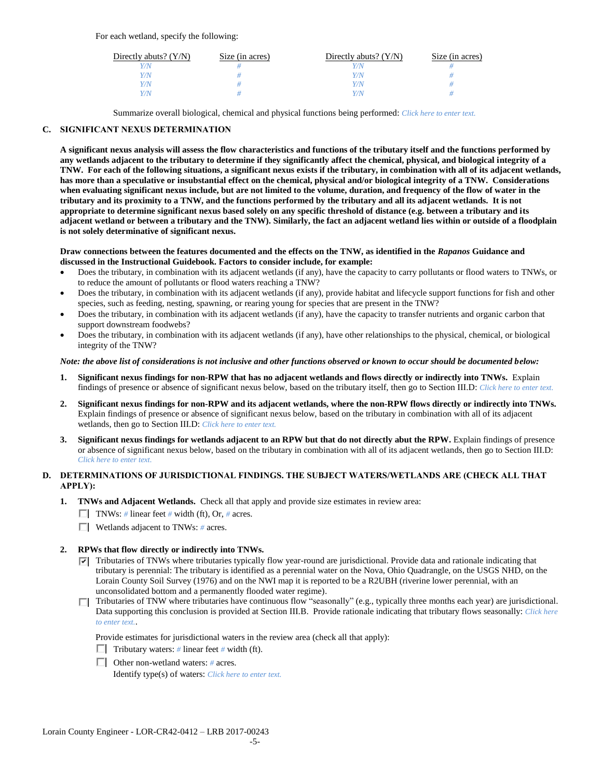For each wetland, specify the following:

| Directly abuts? $(Y/N)$ | Size (in acres) | Directly abuts? $(Y/N)$ | Size (in acres) |
|-------------------------|-----------------|-------------------------|-----------------|
|                         |                 |                         |                 |
| Y/N                     |                 | Y/N                     |                 |
| Y / N                   |                 | Y/N                     |                 |
|                         |                 | Y / N                   |                 |

Summarize overall biological, chemical and physical functions being performed: *Click here to enter text.*

## **C. SIGNIFICANT NEXUS DETERMINATION**

**A significant nexus analysis will assess the flow characteristics and functions of the tributary itself and the functions performed by any wetlands adjacent to the tributary to determine if they significantly affect the chemical, physical, and biological integrity of a TNW. For each of the following situations, a significant nexus exists if the tributary, in combination with all of its adjacent wetlands, has more than a speculative or insubstantial effect on the chemical, physical and/or biological integrity of a TNW. Considerations when evaluating significant nexus include, but are not limited to the volume, duration, and frequency of the flow of water in the tributary and its proximity to a TNW, and the functions performed by the tributary and all its adjacent wetlands. It is not appropriate to determine significant nexus based solely on any specific threshold of distance (e.g. between a tributary and its adjacent wetland or between a tributary and the TNW). Similarly, the fact an adjacent wetland lies within or outside of a floodplain is not solely determinative of significant nexus.** 

#### **Draw connections between the features documented and the effects on the TNW, as identified in the** *Rapanos* **Guidance and discussed in the Instructional Guidebook. Factors to consider include, for example:**

- Does the tributary, in combination with its adjacent wetlands (if any), have the capacity to carry pollutants or flood waters to TNWs, or to reduce the amount of pollutants or flood waters reaching a TNW?
- Does the tributary, in combination with its adjacent wetlands (if any), provide habitat and lifecycle support functions for fish and other species, such as feeding, nesting, spawning, or rearing young for species that are present in the TNW?
- Does the tributary, in combination with its adjacent wetlands (if any), have the capacity to transfer nutrients and organic carbon that support downstream foodwebs?
- Does the tributary, in combination with its adjacent wetlands (if any), have other relationships to the physical, chemical, or biological integrity of the TNW?

## *Note: the above list of considerations is not inclusive and other functions observed or known to occur should be documented below:*

- **1. Significant nexus findings for non-RPW that has no adjacent wetlands and flows directly or indirectly into TNWs.** Explain findings of presence or absence of significant nexus below, based on the tributary itself, then go to Section III.D: *Click here to enter text.*
- **2. Significant nexus findings for non-RPW and its adjacent wetlands, where the non-RPW flows directly or indirectly into TNWs.**  Explain findings of presence or absence of significant nexus below, based on the tributary in combination with all of its adjacent wetlands, then go to Section III.D: *Click here to enter text.*
- **3. Significant nexus findings for wetlands adjacent to an RPW but that do not directly abut the RPW.** Explain findings of presence or absence of significant nexus below, based on the tributary in combination with all of its adjacent wetlands, then go to Section III.D: *Click here to enter text.*

## **D. DETERMINATIONS OF JURISDICTIONAL FINDINGS. THE SUBJECT WATERS/WETLANDS ARE (CHECK ALL THAT APPLY):**

- **1. TNWs and Adjacent Wetlands.** Check all that apply and provide size estimates in review area:
	- TNWs: *#* linear feet *#* width (ft), Or, *#* acres.
	- Wetlands adjacent to TNWs: *#* acres.

## **2. RPWs that flow directly or indirectly into TNWs.**

- $\nabla$  Tributaries of TNWs where tributaries typically flow year-round are jurisdictional. Provide data and rationale indicating that tributary is perennial: The tributary is identified as a perennial water on the Nova, Ohio Quadrangle, on the USGS NHD, on the Lorain County Soil Survey (1976) and on the NWI map it is reported to be a R2UBH (riverine lower perennial, with an unconsolidated bottom and a permanently flooded water regime).
- $\Box$  Tributaries of TNW where tributaries have continuous flow "seasonally" (e.g., typically three months each year) are jurisdictional. Data supporting this conclusion is provided at Section III.B. Provide rationale indicating that tributary flows seasonally: *Click here to enter text.*.

Provide estimates for jurisdictional waters in the review area (check all that apply):

- Tributary waters:  $\#$  linear feet  $\#$  width (ft).
- Other non-wetland waters: *#* acres. Identify type(s) of waters: *Click here to enter text.*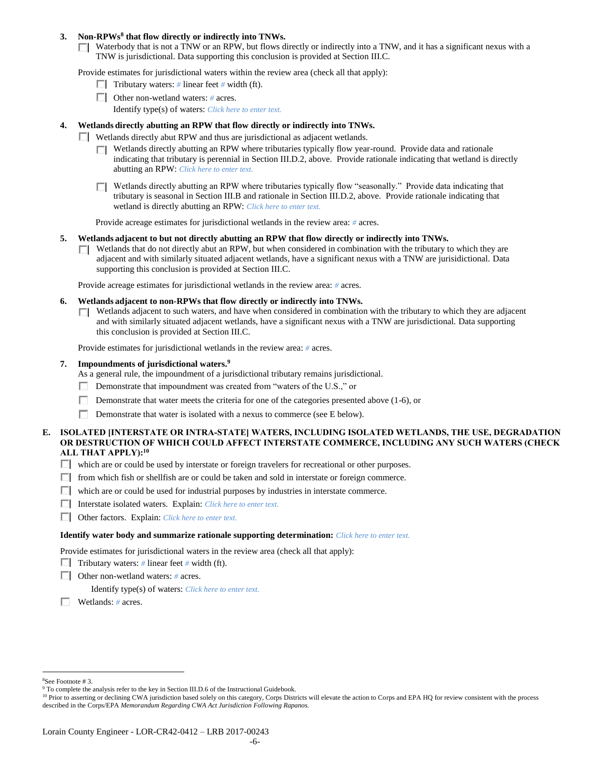## **3. Non-RPWs<sup>8</sup> that flow directly or indirectly into TNWs.**

 $\Box$  Waterbody that is not a TNW or an RPW, but flows directly or indirectly into a TNW, and it has a significant nexus with a TNW is jurisdictional. Data supporting this conclusion is provided at Section III.C.

Provide estimates for jurisdictional waters within the review area (check all that apply):

- **Tributary waters:** # linear feet # width (ft).
- Other non-wetland waters: *#* acres.
	- Identify type(s) of waters: *Click here to enter text.*

## **4. Wetlands directly abutting an RPW that flow directly or indirectly into TNWs.**

- Wetlands directly abut RPW and thus are jurisdictional as adjacent wetlands.
	- $\Box$  Wetlands directly abutting an RPW where tributaries typically flow year-round. Provide data and rationale indicating that tributary is perennial in Section III.D.2, above. Provide rationale indicating that wetland is directly abutting an RPW: *Click here to enter text.*
	- $\Box$  Wetlands directly abutting an RPW where tributaries typically flow "seasonally." Provide data indicating that tributary is seasonal in Section III.B and rationale in Section III.D.2, above. Provide rationale indicating that wetland is directly abutting an RPW: *Click here to enter text.*

Provide acreage estimates for jurisdictional wetlands in the review area: *#* acres.

- **5. Wetlands adjacent to but not directly abutting an RPW that flow directly or indirectly into TNWs.**
	- $\Box$  Wetlands that do not directly abut an RPW, but when considered in combination with the tributary to which they are adjacent and with similarly situated adjacent wetlands, have a significant nexus with a TNW are jurisidictional. Data supporting this conclusion is provided at Section III.C.

Provide acreage estimates for jurisdictional wetlands in the review area: *#* acres.

- **6. Wetlands adjacent to non-RPWs that flow directly or indirectly into TNWs.** 
	- □ Wetlands adjacent to such waters, and have when considered in combination with the tributary to which they are adjacent and with similarly situated adjacent wetlands, have a significant nexus with a TNW are jurisdictional. Data supporting this conclusion is provided at Section III.C.

Provide estimates for jurisdictional wetlands in the review area: *#* acres.

## **7. Impoundments of jurisdictional waters. 9**

As a general rule, the impoundment of a jurisdictional tributary remains jurisdictional.

- Demonstrate that impoundment was created from "waters of the U.S.," or
- Demonstrate that water meets the criteria for one of the categories presented above (1-6), or
- П. Demonstrate that water is isolated with a nexus to commerce (see E below).
- **E. ISOLATED [INTERSTATE OR INTRA-STATE] WATERS, INCLUDING ISOLATED WETLANDS, THE USE, DEGRADATION OR DESTRUCTION OF WHICH COULD AFFECT INTERSTATE COMMERCE, INCLUDING ANY SUCH WATERS (CHECK ALL THAT APPLY):<sup>10</sup>**
	- $\Box$  which are or could be used by interstate or foreign travelers for recreational or other purposes.
	- $\Box$  from which fish or shellfish are or could be taken and sold in interstate or foreign commerce.
	- $\Box$  which are or could be used for industrial purposes by industries in interstate commerce.
	- Interstate isolated waters.Explain: *Click here to enter text.*
	- Other factors.Explain: *Click here to enter text.*

#### **Identify water body and summarize rationale supporting determination:** *Click here to enter text.*

Provide estimates for jurisdictional waters in the review area (check all that apply):

- **Tributary waters:** # linear feet # width (ft).
- Other non-wetland waters: *#* acres.

Identify type(s) of waters: *Click here to enter text.*

Wetlands: *#* acres.

 $\overline{a}$ <sup>8</sup>See Footnote # 3.

<sup>&</sup>lt;sup>9</sup> To complete the analysis refer to the key in Section III.D.6 of the Instructional Guidebook.

<sup>&</sup>lt;sup>10</sup> Prior to asserting or declining CWA jurisdiction based solely on this category, Corps Districts will elevate the action to Corps and EPA HQ for review consistent with the process described in the Corps/EPA *Memorandum Regarding CWA Act Jurisdiction Following Rapanos.*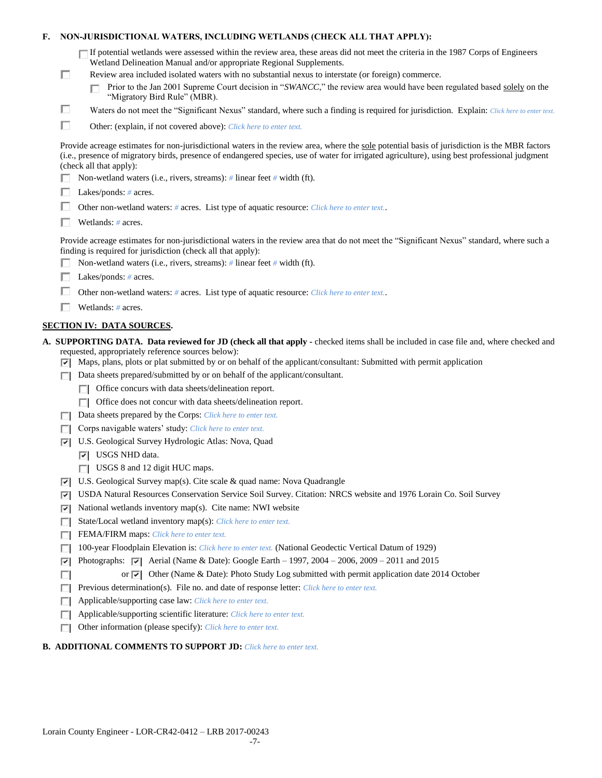| F. |   | NON-JURISDICTIONAL WATERS, INCLUDING WETLANDS (CHECK ALL THAT APPLY):                                                                                                                                                                                                                                                             |
|----|---|-----------------------------------------------------------------------------------------------------------------------------------------------------------------------------------------------------------------------------------------------------------------------------------------------------------------------------------|
|    |   | $\Box$ If potential wetlands were assessed within the review area, these areas did not meet the criteria in the 1987 Corps of Engineers<br>Wetland Delineation Manual and/or appropriate Regional Supplements.                                                                                                                    |
|    | □ | Review area included isolated waters with no substantial nexus to interstate (or foreign) commerce.                                                                                                                                                                                                                               |
|    |   | Prior to the Jan 2001 Supreme Court decision in "SWANCC," the review area would have been regulated based solely on the<br>"Migratory Bird Rule" (MBR).                                                                                                                                                                           |
|    | □ | Waters do not meet the "Significant Nexus" standard, where such a finding is required for jurisdiction. Explain: Click here to enter text.                                                                                                                                                                                        |
|    | п | Other: (explain, if not covered above): Click here to enter text.                                                                                                                                                                                                                                                                 |
|    |   | Provide acreage estimates for non-jurisdictional waters in the review area, where the sole potential basis of jurisdiction is the MBR factors<br>(i.e., presence of migratory birds, presence of endangered species, use of water for irrigated agriculture), using best professional judgment<br>(check all that apply):         |
|    |   | Non-wetland waters (i.e., rivers, streams): # linear feet # width (ft).                                                                                                                                                                                                                                                           |
|    |   | Lakes/ponds: $# \, \text{acres.}$                                                                                                                                                                                                                                                                                                 |
|    |   | Other non-wetland waters: # acres. List type of aquatic resource: Click here to enter text                                                                                                                                                                                                                                        |
|    |   | Wetlands: $#$ acres.                                                                                                                                                                                                                                                                                                              |
|    |   | Provide acreage estimates for non-jurisdictional waters in the review area that do not meet the "Significant Nexus" standard, where such a<br>finding is required for jurisdiction (check all that apply):<br>Non-wetland waters (i.e., rivers, streams): $#$ linear feet $#$ width (ft).                                         |
|    |   | Lakes/ponds: $# \, \text{acres.}$                                                                                                                                                                                                                                                                                                 |
|    |   | Other non-wetland waters: # acres. List type of aquatic resource: Click here to enter text                                                                                                                                                                                                                                        |
|    |   | Wetlands: $#$ acres.                                                                                                                                                                                                                                                                                                              |
|    |   |                                                                                                                                                                                                                                                                                                                                   |
|    |   | <b>SECTION IV: DATA SOURCES.</b>                                                                                                                                                                                                                                                                                                  |
|    |   | A. SUPPORTING DATA. Data reviewed for JD (check all that apply - checked items shall be included in case file and, where checked and<br>requested, appropriately reference sources below):<br>$\triangledown$ Maps, plans, plots or plat submitted by or on behalf of the applicant/consultant: Submitted with permit application |
|    | ш | Data sheets prepared/submitted by or on behalf of the applicant/consultant.                                                                                                                                                                                                                                                       |
|    |   | Office concurs with data sheets/delineation report.                                                                                                                                                                                                                                                                               |
|    |   | Office does not concur with data sheets/delineation report.                                                                                                                                                                                                                                                                       |
|    | П | Data sheets prepared by the Corps: Click here to enter text.                                                                                                                                                                                                                                                                      |
|    |   | Corps navigable waters' study: Click here to enter text.                                                                                                                                                                                                                                                                          |
|    | 罓 | U.S. Geological Survey Hydrologic Atlas: Nova, Quad                                                                                                                                                                                                                                                                               |
|    |   | $ \overline{v} $ USGS NHD data.                                                                                                                                                                                                                                                                                                   |
|    |   | $\Box$ USGS 8 and 12 digit HUC maps.                                                                                                                                                                                                                                                                                              |
|    | 罓 | U.S. Geological Survey map(s). Cite scale & quad name: Nova Quadrangle                                                                                                                                                                                                                                                            |
|    | ☞ | USDA Natural Resources Conservation Service Soil Survey. Citation: NRCS website and 1976 Lorain Co. Soil Survey                                                                                                                                                                                                                   |
|    | ⊽ | National wetlands inventory map(s). Cite name: NWI website                                                                                                                                                                                                                                                                        |
|    | п | State/Local wetland inventory map(s): Click here to enter text.                                                                                                                                                                                                                                                                   |
|    | п | FEMA/FIRM maps: Click here to enter text.                                                                                                                                                                                                                                                                                         |
|    |   | 100-year Floodplain Elevation is: Click here to enter text. (National Geodectic Vertical Datum of 1929)                                                                                                                                                                                                                           |
|    | ⊽ | Photographs: $\sqrt{\phantom{a}}$ Aerial (Name & Date): Google Earth – 1997, 2004 – 2006, 2009 – 2011 and 2015                                                                                                                                                                                                                    |
|    | O | or $\vert \triangledown \vert$ Other (Name & Date): Photo Study Log submitted with permit application date 2014 October                                                                                                                                                                                                           |
|    | п | Previous determination(s). File no. and date of response letter: Click here to enter text.                                                                                                                                                                                                                                        |
|    | ш | Applicable/supporting case law: Click here to enter text.                                                                                                                                                                                                                                                                         |
|    | г | Applicable/supporting scientific literature: Click here to enter text.                                                                                                                                                                                                                                                            |
|    |   | Other information (please specify): Click here to enter text.                                                                                                                                                                                                                                                                     |

## **B. ADDITIONAL COMMENTS TO SUPPORT JD:** *Click here to enter text.*